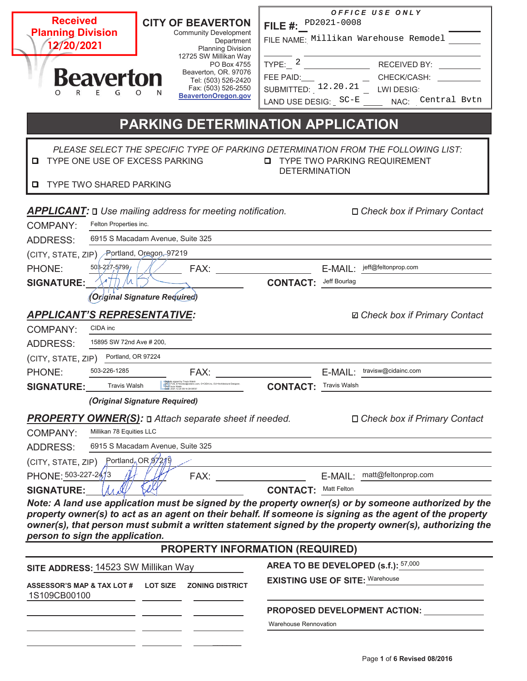| <b>Received</b><br><b>Planning Division</b><br>12/20/2021<br><b>Beaverton</b><br>$\Omega$                                                                                                                                   | <b>CITY OF BEAVERTON</b><br><b>Community Development</b><br>Department<br><b>Planning Division</b><br>12725 SW Millikan Way<br>PO Box 4755<br>Beaverton, OR. 97076<br>Tel: (503) 526-2420<br>Fax: (503) 526-2550<br>BeavertonOregon.gov                         | FILE #: PD2021-0008<br>FEE PAID: | OFFICE USE ONLY<br>FILE NAME: Millikan Warehouse Remodel<br>FEE PAID: ____ ___ ___ CHECK/CASH: ________<br>SUBMITTED: 12.20.21 __ LWI DESIG:<br>LAND USE DESIG: SC-E _____ NAC: Central Bvtn                                                                                                                               |
|-----------------------------------------------------------------------------------------------------------------------------------------------------------------------------------------------------------------------------|-----------------------------------------------------------------------------------------------------------------------------------------------------------------------------------------------------------------------------------------------------------------|----------------------------------|----------------------------------------------------------------------------------------------------------------------------------------------------------------------------------------------------------------------------------------------------------------------------------------------------------------------------|
| TYPE ONE USE OF EXCESS PARKING<br>o<br><b>TYPE TWO SHARED PARKING</b><br>o                                                                                                                                                  | PARKING DETERMINATION APPLICATION                                                                                                                                                                                                                               | <b>DETERMINATION</b>             | PLEASE SELECT THE SPECIFIC TYPE OF PARKING DETERMINATION FROM THE FOLLOWING LIST:<br><b>Q</b> TYPE TWO PARKING REQUIREMENT                                                                                                                                                                                                 |
| Felton Properties inc.<br><b>COMPANY:</b><br><b>ADDRESS:</b>                                                                                                                                                                | <b>APPLICANT: D</b> Use mailing address for meeting notification.<br>6915 S Macadam Avenue, Suite 325                                                                                                                                                           |                                  | □ Check box if Primary Contact                                                                                                                                                                                                                                                                                             |
| (CITY, STATE, ZIP) Portland, Oregon, 97219<br>50 3-227-5799<br>PHONE:<br><b>SIGNATURE:</b>                                                                                                                                  | FAX: The contract of the contract of the contract of the contract of the contract of the contract of the contract of the contract of the contract of the contract of the contract of the contract of the contract of the contr<br>(Original Signature Required) | <b>CONTACT:</b> Jeff Bourlag     | E-MAIL: jeff@feltonprop.com                                                                                                                                                                                                                                                                                                |
| <b>APPLICANT'S REPRESENTATIVE:</b><br>CIDA inc<br><b>COMPANY:</b><br>15895 SW 72nd Ave # 200,<br><b>ADDRESS:</b><br>Portland, OR 97224<br>(CITY, STATE, ZIP)<br>503-226-1285<br>PHONE:<br>Travis Walsh<br><b>SIGNATURE:</b> | FAX:<br>w@cidainc.com, O=CIDA inc, OU=Architectural Designe                                                                                                                                                                                                     | <b>CONTACT: Travis Walsh</b>     | <b>Ø</b> Check box if Primary Contact<br>E-MAIL: travisw@cidainc.com                                                                                                                                                                                                                                                       |
| Millikan 78 Equities LLC<br><b>COMPANY:</b><br><b>ADDRESS:</b><br>(CITY, STATE, ZIP)<br>PHONE: 503-227-2413                                                                                                                 | (Original Signature Required)<br><b>PROPERTY OWNER(S):</b> D Attach separate sheet if needed.<br>6915 S Macadam Avenue, Suite 325<br>Portland, OR $97219$<br>FAX:                                                                                               |                                  | □ Check box if Primary Contact<br>E-MAIL: matt@feltonprop.com                                                                                                                                                                                                                                                              |
| <b>SIGNATURE:</b><br>person to sign the application.                                                                                                                                                                        |                                                                                                                                                                                                                                                                 | <b>CONTACT: Matt Felton</b>      | Note: A land use application must be signed by the property owner(s) or by someone authorized by the<br>property owner(s) to act as an agent on their behalf. If someone is signing as the agent of the property<br>owner(s), that person must submit a written statement signed by the property owner(s), authorizing the |
|                                                                                                                                                                                                                             | PROPERTY INFORMATION (REQUIRED)                                                                                                                                                                                                                                 |                                  | AREA TO BE DEVELOPED (s.f.): 57,000                                                                                                                                                                                                                                                                                        |
| SITE ADDRESS: 14523 SW Millikan Way<br><b>ASSESSOR'S MAP &amp; TAX LOT #</b><br>1S109CB00100                                                                                                                                | <b>LOT SIZE</b><br><b>ZONING DISTRICT</b>                                                                                                                                                                                                                       |                                  | <b>EXISTING USE OF SITE: Warehouse</b>                                                                                                                                                                                                                                                                                     |
|                                                                                                                                                                                                                             |                                                                                                                                                                                                                                                                 | Warehouse Rennovation            | PROPOSED DEVELOPMENT ACTION:                                                                                                                                                                                                                                                                                               |

Г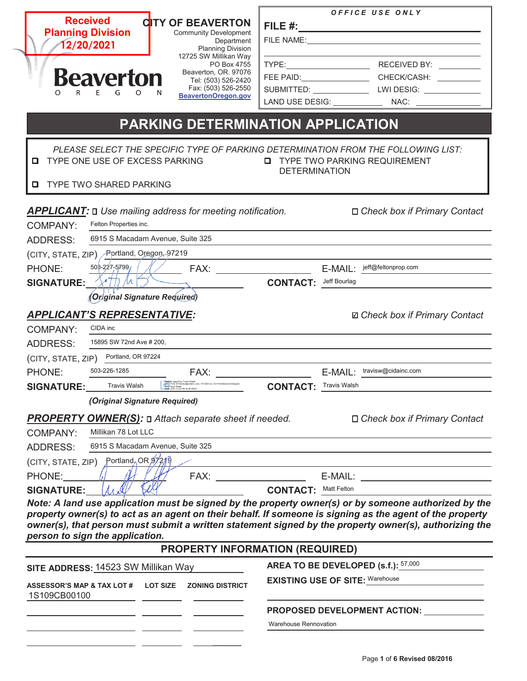| <b>Received</b><br><b>CITY OF BEAVERTON</b><br><b>Planning Division</b><br><b>Community Development</b><br>Department<br>12/20/2021<br><b>Planning Division</b><br>12725 SW Millikan Way<br>PO Box 4755<br>Beaverton, OR. 97076<br><b>Beaverton</b><br>Tel: (503) 526-2420<br>Fax: (503) 526-2550<br>$\Omega$<br>Е<br>$\Omega$<br>BeavertonOregon.gov<br>PARKING DETERMINATION APPLICATION | OFFICE USE ONLY<br>SUBMITTED: ___________________LWI DESIG: ______________<br>LAND USE DESIG: NAC: NAC: |
|--------------------------------------------------------------------------------------------------------------------------------------------------------------------------------------------------------------------------------------------------------------------------------------------------------------------------------------------------------------------------------------------|---------------------------------------------------------------------------------------------------------|
| PLEASE SELECT THE SPECIFIC TYPE OF PARKING DETERMINATION FROM THE FOLLOWING LIST:<br>O.<br>TYPE ONE USE OF EXCESS PARKING<br><b>Q</b> TYPE TWO SHARED PARKING                                                                                                                                                                                                                              | <b>Q</b> TYPE TWO PARKING REQUIREMENT<br><b>DETERMINATION</b>                                           |
| <b>APPLICANT: Q</b> Use mailing address for meeting notification.<br>Felton Properties inc.<br><b>COMPANY:</b><br>6915 S Macadam Avenue, Suite 325<br><b>ADDRESS:</b>                                                                                                                                                                                                                      | □ Check box if Primary Contact                                                                          |
| (CITY, STATE, ZIP) Portland, Oregon, 97219<br>$503 - 227 - 5799$<br>FAX:<br>PHONE:<br>TTI /h<br><b>SIGNATURE:</b><br>(Original Signature Required)                                                                                                                                                                                                                                         | E-MAIL: jeff@feltonprop.com<br><b>CONTACT:</b> Jeff Bourlag                                             |
| <b>APPLICANT'S REPRESENTATIVE:</b><br>CIDA inc<br><b>COMPANY:</b><br>15895 SW 72nd Ave # 200,<br><b>ADDRESS:</b><br>Portland, OR 97224<br>(CITY, STATE, ZIP)<br>503-226-1285<br>PHONE:<br>FAX:                                                                                                                                                                                             | <b>Ø</b> Check box if Primary Contact<br>E-MAIL: travisw@cidainc.com                                    |
| - Digitally signed by Travis Walsh<br>- DNKC=US, E=fravisw@cidainc.com, O=CIDA inc, OU=Architectural Designer,<br>- CN#Travis Walsh<br>- Date: 2021.12.20 08:16:06-08'00"<br><b>SIGNATURE:</b> Travis Walsh<br>(Original Signature Required)<br><b>PROPERTY OWNER(S):</b> D Attach separate sheet if needed.                                                                               | <b>CONTACT: Travis Walsh</b><br>$\Box$ Check box if Primary Contact                                     |
| Millikan 78 Lot LLC<br><b>COMPANY:</b><br>6915 S Macadam Avenue, Suite 325<br><b>ADDRESS:</b><br>(CITY, STATE, ZIP) Portland, OR 97219<br>PHONE:                                                                                                                                                                                                                                           |                                                                                                         |
| <b>SIGNATURE:</b><br>Note: A land use application must be signed by the property owner(s) or by someone authorized by the<br>property owner(s) to act as an agent on their behalf. If someone is signing as the agent of the property<br>owner(s), that person must submit a written statement signed by the property owner(s), authorizing the<br>person to sign the application.         | <b>CONTACT: Matt Felton</b>                                                                             |
| <b>PROPERTY INFORMATION (REQUIRED)</b>                                                                                                                                                                                                                                                                                                                                                     |                                                                                                         |
| SITE ADDRESS: 14523 SW Millikan Way<br>ASSESSOR'S MAP & TAX LOT # LOT SIZE ZONING DISTRICT<br>1S109CB00100                                                                                                                                                                                                                                                                                 | AREA TO BE DEVELOPED (s.f.): 57,000<br><b>EXISTING USE OF SITE:</b> Warehouse                           |
|                                                                                                                                                                                                                                                                                                                                                                                            | PROPOSED DEVELOPMENT ACTION:<br>Warehouse Rennovation                                                   |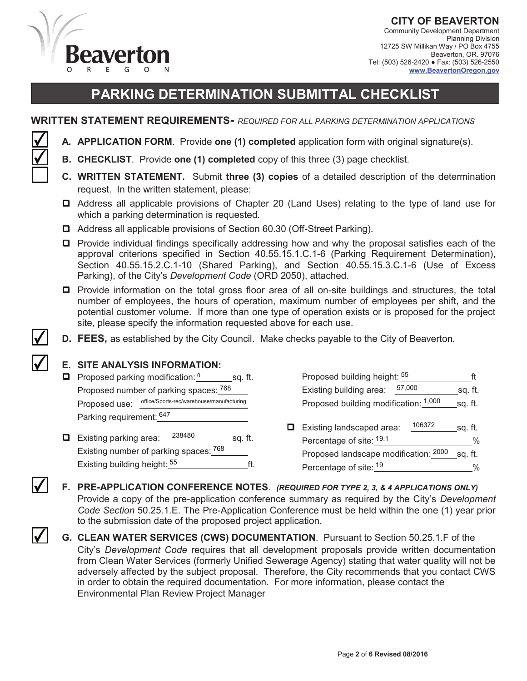

**CITY OF BEAVERTON**  Community Development Department Planning Division 12725 SW Millikan Way / PO Box 4755 Beaverton, OR. 97076 Tel: (503) 526-2420 ● Fax: (503) 526-2550 **www.BeavertonOregon.gov**

# **PARKING DETERMINATION SUBMITTAL CHECKLIST**

#### **WRITTEN STATEMENT REQUIREMENTS-** *REQUIRED FOR ALL PARKING DETERMINATION APPLICATIONS*

- **A. APPLICATION FORM**. Provide **one (1) completed** application form with original signature(s).
- **B. CHECKLIST**. Provide **one (1) completed** copy of this three (3) page checklist.
- **C. WRITTEN STATEMENT.** Submit **three (3) copies** of a detailed description of the determination request. In the written statement, please:
- Address all applicable provisions of Chapter 20 (Land Uses) relating to the type of land use for which a parking determination is requested.
- Address all applicable provisions of Section 60.30 (Off-Street Parking).
- Provide individual findings specifically addressing how and why the proposal satisfies each of the approval criterions specified in Section 40.55.15.1.C.1-6 (Parking Requirement Determination), Section 40.55.15.2.C.1-10 (Shared Parking), and Section 40.55.15.3.C.1-6 (Use of Excess Parking), of the City's *Development Code* (ORD 2050), attached.
- Provide information on the total gross floor area of all on-site buildings and structures, the total number of employees, the hours of operation, maximum number of employees per shift, and the potential customer volume. If more than one type of operation exists or is proposed for the project site, please specify the information requested above for each use.
- **D. FEES,** as established by the City Council.Make checks payable to the City of Beaverton.

#### **E. SITE ANALYSIS INFORMATION:**

- **P** Proposed parking modification:  $\frac{0}{1}$  sq. ft. Proposed number of parking spaces: 768 Proposed use: office/Sports-rec/warehouse/manufacturing Parking requirement: <sup>647</sup>
- **Existing parking area:**  $^{238480}$  sq. ft. Existing number of parking spaces: 768 Existing building height:  $55$  [ft.
- Proposed building height: ft 0 55 768 Existing building area: 57,000 sq. ft. office/Sports-rec/warehouse/manufacturing **1,000** sq. ft. **D** Existing landscaped area:  $\frac{106372}{\pi}$  sq. ft. 238480 \_\_\_\_\_\_\_\_\_\_\_sq. ft. Percentage of site: <sup>19.1</sup> \_\_\_\_\_\_\_\_\_\_\_\_\_\_\_\_\_\_\_\_% Proposed landscape modification: sq. ft. <sup>768</sup> <sup>2000</sup> Percentage of site: % <sup>55</sup> <sup>19</sup> 106372
- **F. PRE-APPLICATION CONFERENCE NOTES**. *(REQUIRED FOR TYPE 2, 3, & 4 APPLICATIONS ONLY)* Provide a copy of the pre-application conference summary as required by the City's *Development Code Section* 50.25.1.E. The Pre-Application Conference must be held within the one (1) year prior to the submission date of the proposed project application.
- **G. CLEAN WATER SERVICES (CWS) DOCUMENTATION**. Pursuant to Section 50.25.1.F of the City's *Development Code* requires that all development proposals provide written documentation from Clean Water Services (formerly Unified Sewerage Agency) stating that water quality will not be adversely affected by the subject proposal. Therefore, the City recommends that you contact CWS in order to obtain the required documentation. For more information, please contact the Environmental Plan Review Project Manager

✔

✔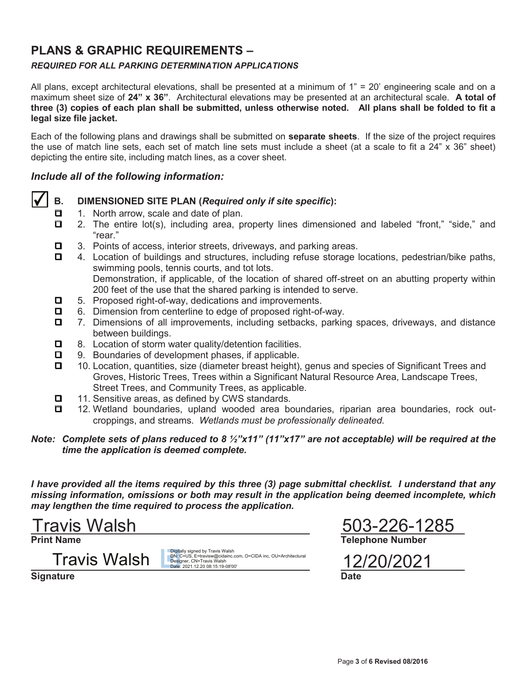## **PLANS & GRAPHIC REQUIREMENTS –**

### *REQUIRED FOR ALL PARKING DETERMINATION APPLICATIONS*

All plans, except architectural elevations, shall be presented at a minimum of  $1" = 20'$  engineering scale and on a maximum sheet size of **24" x 36"**. Architectural elevations may be presented at an architectural scale. **A total of three (3) copies of each plan shall be submitted, unless otherwise noted. All plans shall be folded to fit a legal size file jacket.** 

Each of the following plans and drawings shall be submitted on **separate sheets**. If the size of the project requires the use of match line sets, each set of match line sets must include a sheet (at a scale to fit a 24" x 36" sheet) depicting the entire site, including match lines, as a cover sheet.

#### *Include all of the following information:*



#### **B. DIMENSIONED SITE PLAN (***Required only if site specific***):**

- 1. North arrow, scale and date of plan.
- $\Box$  2. The entire lot(s), including area, property lines dimensioned and labeled "front," "side," and "rear."
- $\Box$  3. Points of access, interior streets, driveways, and parking areas.
- 4. Location of buildings and structures, including refuse storage locations, pedestrian/bike paths, swimming pools, tennis courts, and tot lots. Demonstration, if applicable, of the location of shared off-street on an abutting property within
- 200 feet of the use that the shared parking is intended to serve.
- 5. Proposed right-of-way, dedications and improvements.
- 6. Dimension from centerline to edge of proposed right-of-way.
- 7. Dimensions of all improvements, including setbacks, parking spaces, driveways, and distance between buildings.
- $\Box$  8. Location of storm water quality/detention facilities.
- $\Box$  9. Boundaries of development phases, if applicable.
- 10. Location, quantities, size (diameter breast height), genus and species of Significant Trees and Groves, Historic Trees, Trees within a Significant Natural Resource Area, Landscape Trees, Street Trees, and Community Trees, as applicable.
- $\Box$  11. Sensitive areas, as defined by CWS standards.
- 12. Wetland boundaries, upland wooded area boundaries, riparian area boundaries, rock outcroppings, and streams. *Wetlands must be professionally delineated.*

#### *Note: Complete sets of plans reduced to 8 ½"x11" (11"x17" are not acceptable) will be required at the time the application is deemed complete.*

*I have provided all the items required by this three (3) page submittal checklist. I understand that any missing information, omissions or both may result in the application being deemed incomplete, which may lengthen the time required to process the application.* 

 Travis Walsh 503-226-1285

Travis Walsh

**Signature Date** 

Digitally signed by Travis Walsh<br>DN: C=US, E=travisw@cidainc.com, O=CIDA inc, OU=Architectural<br>Designer, CN=Travis Walsh<br>Date: 2021.12.20 08:15:19-08'00'

**Print Name Telephone Number**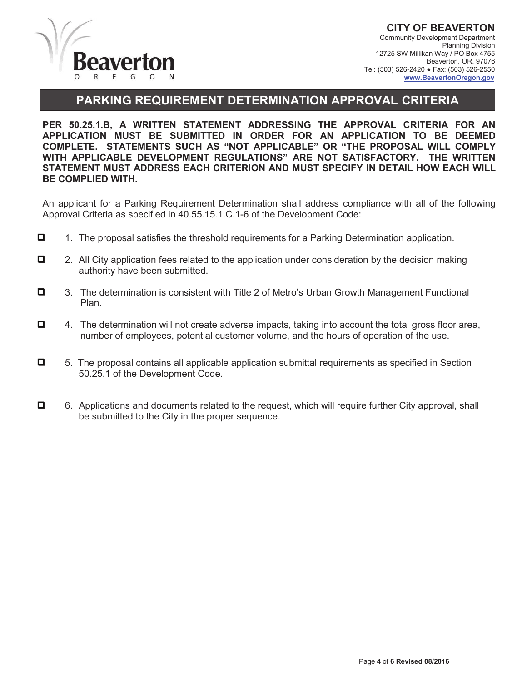

**CITY OF BEAVERTON**  Community Development Department Planning Division 12725 SW Millikan Way / PO Box 4755 Beaverton, OR. 97076 Tel: (503) 526-2420 ● Fax: (503) 526-2550  **www.BeavertonOregon.gov**

### **PARKING REQUIREMENT DETERMINATION APPROVAL CRITERIA**

**PER 50.25.1.B, A WRITTEN STATEMENT ADDRESSING THE APPROVAL CRITERIA FOR AN APPLICATION MUST BE SUBMITTED IN ORDER FOR AN APPLICATION TO BE DEEMED COMPLETE. STATEMENTS SUCH AS "NOT APPLICABLE" OR "THE PROPOSAL WILL COMPLY WITH APPLICABLE DEVELOPMENT REGULATIONS" ARE NOT SATISFACTORY. THE WRITTEN STATEMENT MUST ADDRESS EACH CRITERION AND MUST SPECIFY IN DETAIL HOW EACH WILL BE COMPLIED WITH.** 

An applicant for a Parking Requirement Determination shall address compliance with all of the following Approval Criteria as specified in 40.55.15.1.C.1-6 of the Development Code:

- $\Box$  1. The proposal satisfies the threshold requirements for a Parking Determination application.
- □ 2. All City application fees related to the application under consideration by the decision making authority have been submitted.
- 3. The determination is consistent with Title 2 of Metro's Urban Growth Management Functional Plan.
- $\Box$  4. The determination will not create adverse impacts, taking into account the total gross floor area, number of employees, potential customer volume, and the hours of operation of the use.
- $\Box$  5. The proposal contains all applicable application submittal requirements as specified in Section 50.25.1 of the Development Code.
- 6. Applications and documents related to the request, which will require further City approval, shall be submitted to the City in the proper sequence.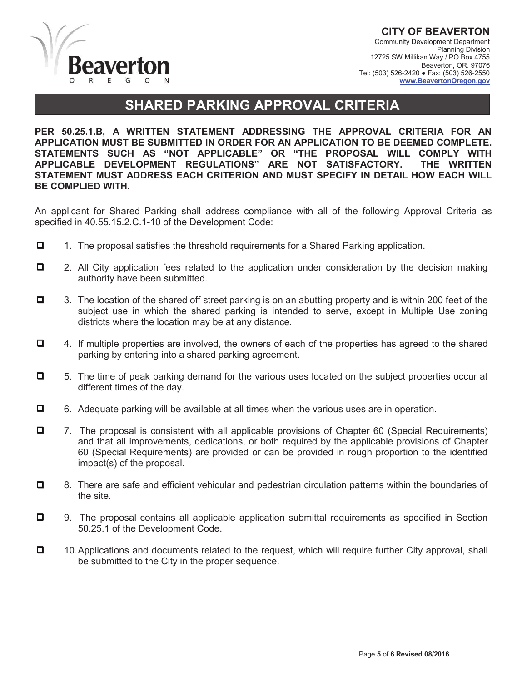

**CITY OF BEAVERTON**  Community Development Department Planning Division 12725 SW Millikan Way / PO Box 4755 Beaverton, OR. 97076 Tel: (503) 526-2420 ● Fax: (503) 526-2550 **www.BeavertonOregon.gov**

## **SHARED PARKING APPROVAL CRITERIA**

**PER 50.25.1.B, A WRITTEN STATEMENT ADDRESSING THE APPROVAL CRITERIA FOR AN APPLICATION MUST BE SUBMITTED IN ORDER FOR AN APPLICATION TO BE DEEMED COMPLETE. STATEMENTS SUCH AS "NOT APPLICABLE" OR "THE PROPOSAL WILL COMPLY WITH APPLICABLE DEVELOPMENT REGULATIONS" ARE NOT SATISFACTORY. THE WRITTEN STATEMENT MUST ADDRESS EACH CRITERION AND MUST SPECIFY IN DETAIL HOW EACH WILL BE COMPLIED WITH.** 

An applicant for Shared Parking shall address compliance with all of the following Approval Criteria as specified in 40.55.15.2.C.1-10 of the Development Code:

- $\Box$  1. The proposal satisfies the threshold requirements for a Shared Parking application.
- 2. All City application fees related to the application under consideration by the decision making authority have been submitted.
- 3. The location of the shared off street parking is on an abutting property and is within 200 feet of the subject use in which the shared parking is intended to serve, except in Multiple Use zoning districts where the location may be at any distance.
- 4. If multiple properties are involved, the owners of each of the properties has agreed to the shared parking by entering into a shared parking agreement.
- □ 5. The time of peak parking demand for the various uses located on the subject properties occur at different times of the day.
- 6. Adequate parking will be available at all times when the various uses are in operation.
- 7. The proposal is consistent with all applicable provisions of Chapter 60 (Special Requirements) and that all improvements, dedications, or both required by the applicable provisions of Chapter 60 (Special Requirements) are provided or can be provided in rough proportion to the identified impact(s) of the proposal.
- $\Box$  8. There are safe and efficient vehicular and pedestrian circulation patterns within the boundaries of the site.
- 9. The proposal contains all applicable application submittal requirements as specified in Section 50.25.1 of the Development Code.
- $\Box$  10. Applications and documents related to the request, which will require further City approval, shall be submitted to the City in the proper sequence.